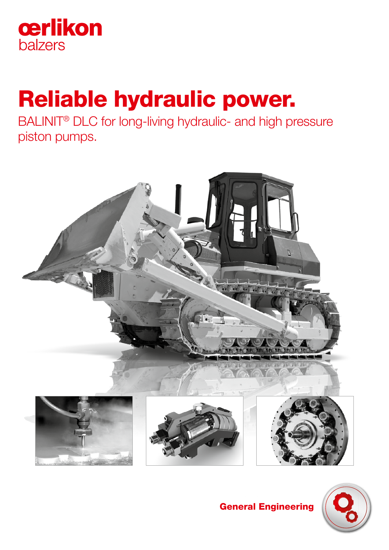

# Reliable hydraulic power.

BALINIT® DLC for long-living hydraulic- and high pressure piston pumps.







General Engineering